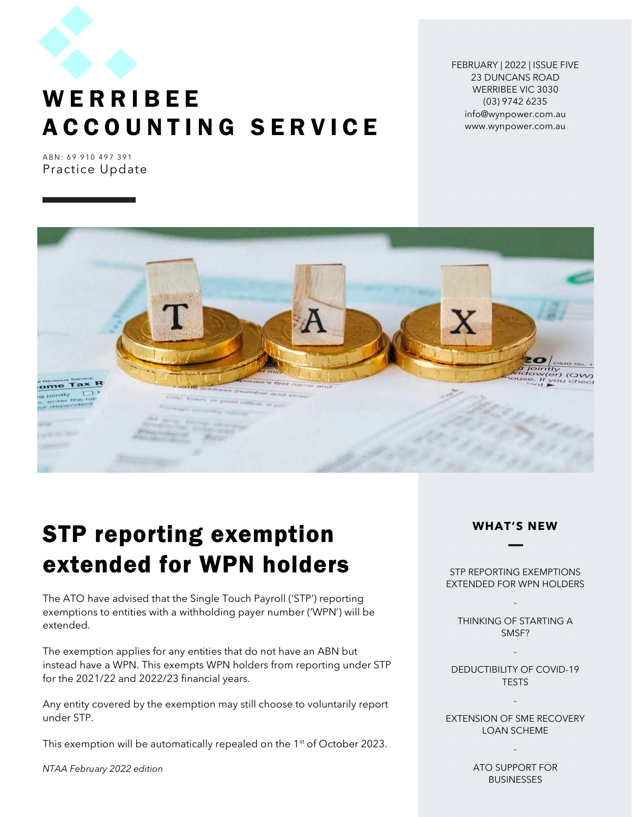

## **WERRIBEE** A C C O U N T I N G S E R V I C E

FEBRUARY | 2022 | ISSUE FIVE 23 DUNCANS ROAD WERRIBEE VIC 3030 (03) 9742 6235 info@wynpower.com.au www.wynpower.com.au

ABN: 69 910 497 391 Practice Update



# STP reporting exemption extended for WPN holders

The ATO have advised that the Single Touch Payroll ('STP') reporting exemptions to entities with a withholding payer number ('WPN') will be extended.

The exemption applies for any entities that do not have an ABN but instead have a WPN. This exempts WPN holders from reporting under STP for the 2021/22 and 2022/23 financial years.

Any entity covered by the exemption may still choose to voluntarily report under STP.

This exemption will be automatically repealed on the 1<sup>st</sup> of October 2023.

NTAA February 2022 edition

#### WHAT'S NEW

STP REPORTING EXEMPTIONS EXTENDED FOR WPN HOLDERS

-

THINKING OF STARTING A SMSF?

DEDUCTIBILITY OF COVID-19 **TESTS** 

-

-

EXTENSION OF SME RECOVERY LOAN SCHEME

> ATO SUPPORT FOR BUSINESSES

-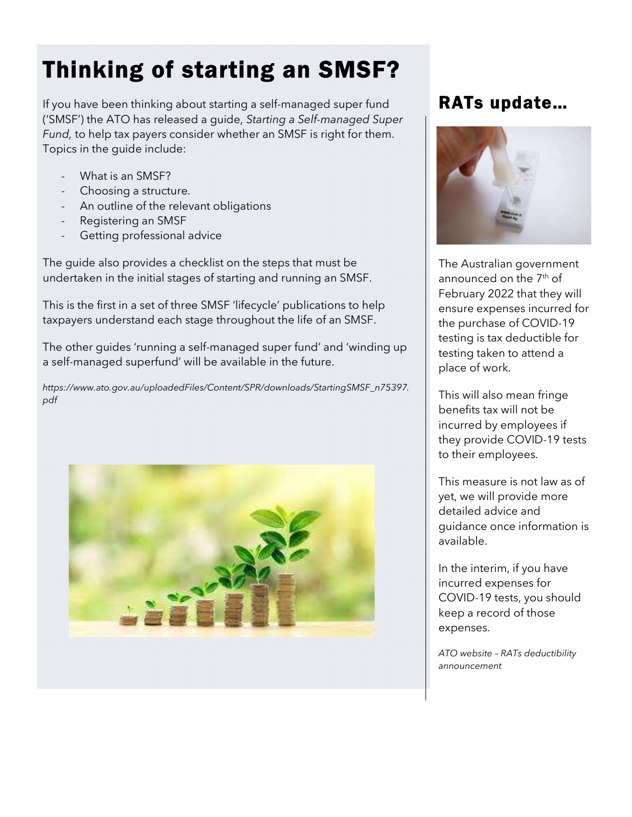# Thinking of starting an SMSF?

If you have been thinking about starting a self-managed super fund ('SMSF') the ATO has released a guide, Starting a Self-managed Super Fund, to help tax payers consider whether an SMSF is right for them. Topics in the guide include:

- What is an SMSF?
- Choosing a structure.
- An outline of the relevant obligations
- Registering an SMSF
- Getting professional advice

The guide also provides a checklist on the steps that must be undertaken in the initial stages of starting and running an SMSF.

This is the first in a set of three SMSF 'lifecycle' publications to help taxpayers understand each stage throughout the life of an SMSF.

The other guides 'running a self-managed super fund' and 'winding up a self-managed superfund' will be available in the future.

https://www.ato.gov.au/uploadedFiles/Content/SPR/downloads/StartingSMSF\_n75397. pdf



### RATs update…



The Australian government announced on the  $7<sup>th</sup>$  of February 2022 that they will ensure expenses incurred for the purchase of COVID-19 testing is tax deductible for testing taken to attend a place of work.

This will also mean fringe benefits tax will not be incurred by employees if they provide COVID-19 tests to their employees.

This measure is not law as of yet, we will provide more detailed advice and guidance once information is available.

In the interim, if you have incurred expenses for COVID-19 tests, you should keep a record of those expenses.

ATO website – RATs deductibility announcement